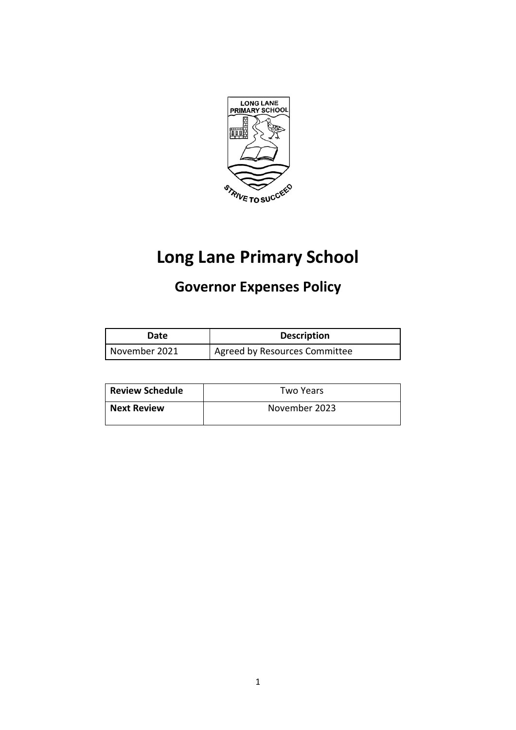

# **Long Lane Primary School**

## **Governor Expenses Policy**

| Date          | <b>Description</b>            |
|---------------|-------------------------------|
| November 2021 | Agreed by Resources Committee |

| <b>Review Schedule</b> | Two Years     |
|------------------------|---------------|
| <b>Next Review</b>     | November 2023 |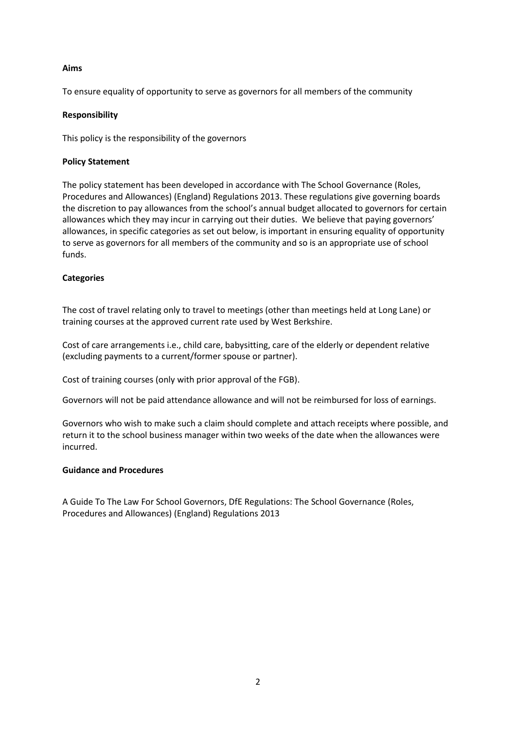#### **Aims**

To ensure equality of opportunity to serve as governors for all members of the community

#### **Responsibility**

This policy is the responsibility of the governors

#### **Policy Statement**

The policy statement has been developed in accordance with The School Governance (Roles, Procedures and Allowances) (England) Regulations 2013. These regulations give governing boards the discretion to pay allowances from the school's annual budget allocated to governors for certain allowances which they may incur in carrying out their duties. We believe that paying governors' allowances, in specific categories as set out below, is important in ensuring equality of opportunity to serve as governors for all members of the community and so is an appropriate use of school funds.

#### **Categories**

The cost of travel relating only to travel to meetings (other than meetings held at Long Lane) or training courses at the approved current rate used by West Berkshire.

Cost of care arrangements i.e., child care, babysitting, care of the elderly or dependent relative (excluding payments to a current/former spouse or partner).

Cost of training courses (only with prior approval of the FGB).

Governors will not be paid attendance allowance and will not be reimbursed for loss of earnings.

Governors who wish to make such a claim should complete and attach receipts where possible, and return it to the school business manager within two weeks of the date when the allowances were incurred.

#### **Guidance and Procedures**

A Guide To The Law For School Governors, DfE Regulations: The School Governance (Roles, Procedures and Allowances) (England) Regulations 2013